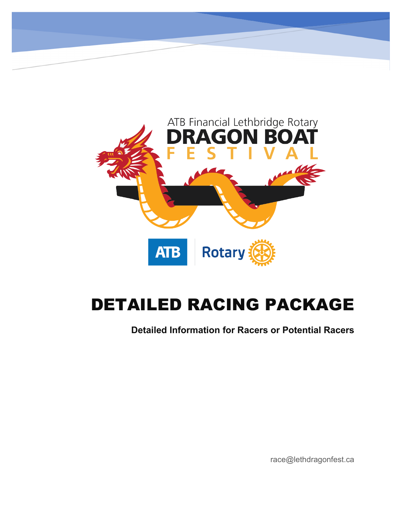

# DETAILED RACING PACKAGE

**Detailed Information for Racers or Potential Racers**

race@lethdragonfest.ca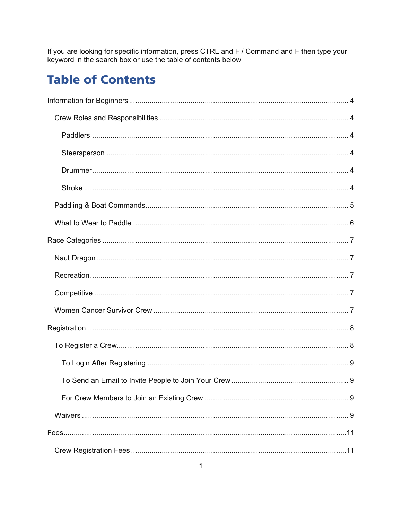If you are looking for specific information, press CTRL and F / Command and F then type your keyword in the search box or use the table of contents below

## **Table of Contents**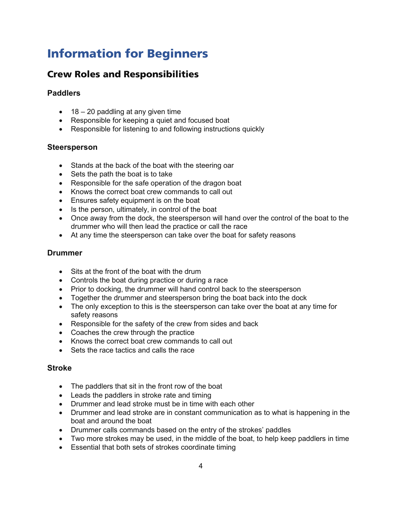## <span id="page-4-0"></span>Information for Beginners

## <span id="page-4-1"></span>Crew Roles and Responsibilities

### <span id="page-4-2"></span>**Paddlers**

- 18 20 paddling at any given time
- Responsible for keeping a quiet and focused boat
- Responsible for listening to and following instructions quickly

### <span id="page-4-3"></span>**Steersperson**

- Stands at the back of the boat with the steering oar
- Sets the path the boat is to take
- Responsible for the safe operation of the dragon boat
- Knows the correct boat crew commands to call out
- Ensures safety equipment is on the boat
- Is the person, ultimately, in control of the boat
- Once away from the dock, the steersperson will hand over the control of the boat to the drummer who will then lead the practice or call the race
- At any time the steersperson can take over the boat for safety reasons

### <span id="page-4-4"></span>**Drummer**

- Sits at the front of the boat with the drum
- Controls the boat during practice or during a race
- Prior to docking, the drummer will hand control back to the steersperson
- Together the drummer and steersperson bring the boat back into the dock
- The only exception to this is the steersperson can take over the boat at any time for safety reasons
- Responsible for the safety of the crew from sides and back
- Coaches the crew through the practice
- Knows the correct boat crew commands to call out
- Sets the race tactics and calls the race

### <span id="page-4-5"></span>**Stroke**

- The paddlers that sit in the front row of the boat
- Leads the paddlers in stroke rate and timing
- Drummer and lead stroke must be in time with each other
- Drummer and lead stroke are in constant communication as to what is happening in the boat and around the boat
- Drummer calls commands based on the entry of the strokes' paddles
- Two more strokes may be used, in the middle of the boat, to help keep paddlers in time
- Essential that both sets of strokes coordinate timing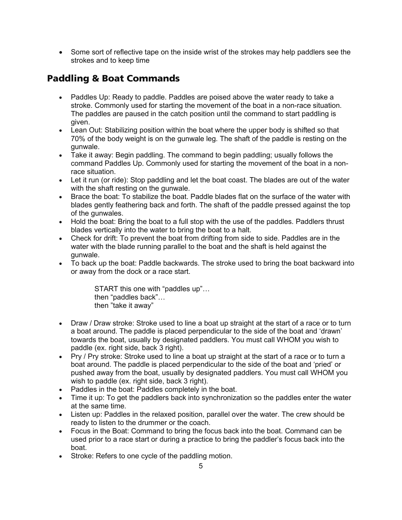• Some sort of reflective tape on the inside wrist of the strokes may help paddlers see the strokes and to keep time

## <span id="page-5-0"></span>Paddling & Boat Commands

- Paddles Up: Ready to paddle. Paddles are poised above the water ready to take a stroke. Commonly used for starting the movement of the boat in a non-race situation. The paddles are paused in the catch position until the command to start paddling is given.
- Lean Out: Stabilizing position within the boat where the upper body is shifted so that 70% of the body weight is on the gunwale leg. The shaft of the paddle is resting on the gunwale.
- Take it away: Begin paddling. The command to begin paddling; usually follows the command Paddles Up. Commonly used for starting the movement of the boat in a nonrace situation.
- Let it run (or ride): Stop paddling and let the boat coast. The blades are out of the water with the shaft resting on the gunwale.
- Brace the boat: To stabilize the boat. Paddle blades flat on the surface of the water with blades gently feathering back and forth. The shaft of the paddle pressed against the top of the gunwales.
- Hold the boat: Bring the boat to a full stop with the use of the paddles. Paddlers thrust blades vertically into the water to bring the boat to a halt.
- Check for drift: To prevent the boat from drifting from side to side. Paddles are in the water with the blade running parallel to the boat and the shaft is held against the gunwale.
- To back up the boat: Paddle backwards. The stroke used to bring the boat backward into or away from the dock or a race start.

START this one with "paddles up"… then "paddles back"… then "take it away"

- Draw / Draw stroke: Stroke used to line a boat up straight at the start of a race or to turn a boat around. The paddle is placed perpendicular to the side of the boat and 'drawn' towards the boat, usually by designated paddlers. You must call WHOM you wish to paddle (ex. right side, back 3 right).
- Pry / Pry stroke: Stroke used to line a boat up straight at the start of a race or to turn a boat around. The paddle is placed perpendicular to the side of the boat and 'pried' or pushed away from the boat, usually by designated paddlers. You must call WHOM you wish to paddle (ex. right side, back 3 right).
- Paddles in the boat: Paddles completely in the boat.
- Time it up: To get the paddlers back into synchronization so the paddles enter the water at the same time.
- Listen up: Paddles in the relaxed position, parallel over the water. The crew should be ready to listen to the drummer or the coach.
- Focus in the Boat: Command to bring the focus back into the boat. Command can be used prior to a race start or during a practice to bring the paddler's focus back into the boat.
- Stroke: Refers to one cycle of the paddling motion.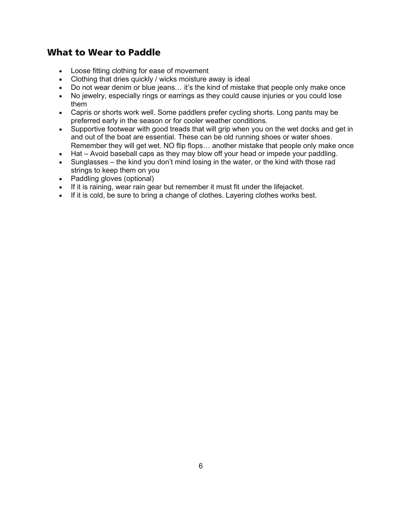### <span id="page-6-0"></span>What to Wear to Paddle

- Loose fitting clothing for ease of movement
- Clothing that dries quickly / wicks moisture away is ideal
- Do not wear denim or blue jeans... it's the kind of mistake that people only make once
- No jewelry, especially rings or earrings as they could cause injuries or you could lose them
- Capris or shorts work well. Some paddlers prefer cycling shorts. Long pants may be preferred early in the season or for cooler weather conditions.
- Supportive footwear with good treads that will grip when you on the wet docks and get in and out of the boat are essential. These can be old running shoes or water shoes. Remember they will get wet. NO flip flops… another mistake that people only make once
- Hat Avoid baseball caps as they may blow off your head or impede your paddling.
- Sunglasses the kind you don't mind losing in the water, or the kind with those rad strings to keep them on you
- Paddling gloves (optional)
- If it is raining, wear rain gear but remember it must fit under the lifejacket.
- If it is cold, be sure to bring a change of clothes. Layering clothes works best.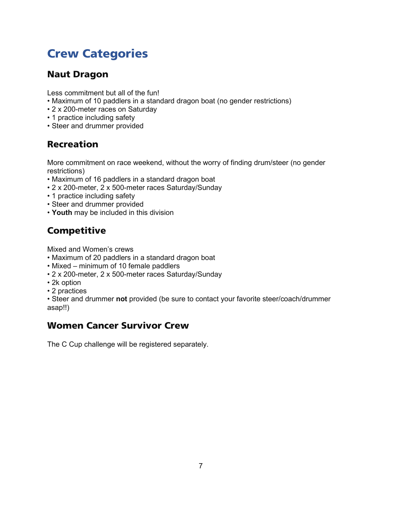## <span id="page-7-0"></span>Crew Categories

## <span id="page-7-1"></span>Naut Dragon

Less commitment but all of the fun!

- Maximum of 10 paddlers in a standard dragon boat (no gender restrictions)
- 2 x 200-meter races on Saturday
- 1 practice including safety
- Steer and drummer provided

## <span id="page-7-2"></span>Recreation

More commitment on race weekend, without the worry of finding drum/steer (no gender restrictions)

- Maximum of 16 paddlers in a standard dragon boat
- 2 x 200-meter, 2 x 500-meter races Saturday/Sunday
- 1 practice including safety
- Steer and drummer provided
- **Youth** may be included in this division

## <span id="page-7-3"></span>**Competitive**

Mixed and Women's crews

- Maximum of 20 paddlers in a standard dragon boat
- Mixed minimum of 10 female paddlers
- 2 x 200-meter, 2 x 500-meter races Saturday/Sunday
- 2k option
- 2 practices

• Steer and drummer **not** provided (be sure to contact your favorite steer/coach/drummer asap!!)

## <span id="page-7-4"></span>Women Cancer Survivor Crew

The C Cup challenge will be registered separately.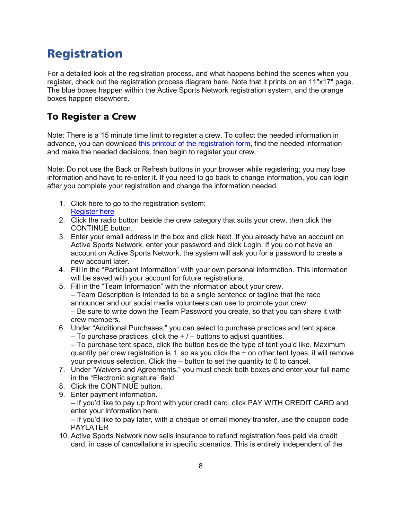## <span id="page-8-0"></span>Registration

For a detailed look at the registration process, and what happens behind the scenes when you register, check out [the registration process diagram here](https://lethbridgedragonfest.files.wordpress.com/2013/11/registration-process-20152.pdf). Note that it prints on an 11″x17″ page. The blue boxes happen within the Active Sports Network registration system, and the orange boxes happen elsewhere.

## <span id="page-8-1"></span>To Register a Crew

Note: There is a 15 minute time limit to register a crew. To collect the needed information in advance, you can download [this printout of the registration form,](https://lethbridgedragonfest.files.wordpress.com/2022/04/registration-form.pdf) find the needed information and make the needed decisions, then begin to register your crew.

Note: Do not use the Back or Refresh buttons in your browser while registering; you may lose information and have to re-enter it. If you need to go back to change information, you can login after you complete your registration and change the information needed.

- 1. Click here to go to the registration system: [Register here](https://www.active.com/lethbridge-ab/other-endurance/atb-financial-lethbridge-rotary-dragon-boats-festival-2022)
- 2. Click the radio button beside the crew category that suits your crew, then click the CONTINUE button.
- 3. Enter your email address in the box and click Next. If you already have an account on Active Sports Network, enter your password and click Login. If you do not have an account on Active Sports Network, the system will ask you for a password to create a new account later.
- 4. Fill in the "Participant Information" with your own personal information. This information will be saved with your account for future registrations.
- 5. Fill in the "Team Information" with the information about your crew. – Team Description is intended to be a single sentence or tagline that the race announcer and our social media volunteers can use to promote your crew. – Be sure to write down the Team Password you create, so that you can share it with crew members.
- 6. Under "Additional Purchases," you can select to purchase practices and tent space.
	- $-$  To purchase practices, click the  $+/-$  buttons to adjust quantities.
	- To purchase tent space, click the button beside the type of tent you'd like. Maximum quantity per crew registration is 1, so as you click the + on other tent types, it will remove your previous selection. Click the – button to set the quantity to 0 to cancel.
- 7. Under "Waivers and Agreements," you must check both boxes and enter your full name in the "Electronic signature" field.
- 8. Click the CONTINUE button.
- 9. Enter payment information.
	- If you'd like to pay up front with your credit card, click PAY WITH CREDIT CARD and enter your information here.

– If you'd like to pay later, with a cheque or email money transfer, use the coupon code PAYLATER

10. Active Sports Network now sells insurance to refund registration fees paid via credit card, in case of cancellations in specific scenarios. This is entirely independent of the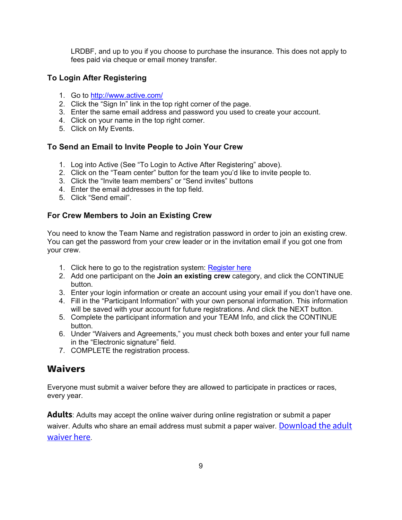LRDBF, and up to you if you choose to purchase the insurance. This does not apply to fees paid via cheque or email money transfer.

### <span id="page-9-0"></span>**To Login After Registering**

- 1. Go to <http://www.active.com/>
- 2. Click the "Sign In" link in the top right corner of the page.
- 3. Enter the same email address and password you used to create your account.
- 4. Click on your name in the top right corner.
- 5. Click on My Events.

### <span id="page-9-1"></span>**To Send an Email to Invite People to Join Your Crew**

- 1. Log into Active (See "To Login to Active After Registering" above).
- 2. Click on the "Team center" button for the team you'd like to invite people to.
- 3. Click the "Invite team members" or "Send invites" buttons
- 4. Enter the email addresses in the top field.
- 5. Click "Send email".

### <span id="page-9-2"></span>**For Crew Members to Join an Existing Crew**

You need to know the Team Name and registration password in order to join an existing crew. You can get the password from your crew leader or in the invitation email if you got one from your crew.

- 1. Click here to go to the registration system: [Register here](https://endurancecui.active.com/new/events/80261731/select-race?regnow=awe-regnow&_p=360662630359871)
- 2. Add one participant on the **Join an existing crew** category, and click the CONTINUE button.
- 3. Enter your login information or create an account using your email if you don't have one.
- 4. Fill in the "Participant Information" with your own personal information. This information will be saved with your account for future registrations. And click the NEXT button.
- 5. Complete the participant information and your TEAM Info, and click the CONTINUE button.
- 6. Under "Waivers and Agreements," you must check both boxes and enter your full name in the "Electronic signature" field.
- 7. COMPLETE the registration process.

### <span id="page-9-3"></span>**Waivers**

Everyone must submit a waiver before they are allowed to participate in practices or races, every year.

**Adults**: Adults may accept the online waiver during online registration or submit a paper waiver. Adults who share an email address must submit a paper waiver. Download the adult [waiver here](https://lethbridgedragonfest.files.wordpress.com/2022/03/2022-waiver-mar-28-2022.pdf).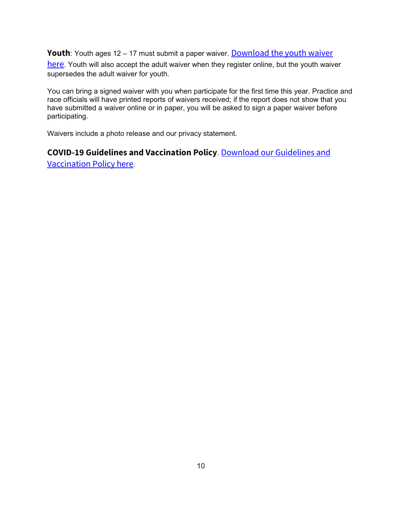**Youth**: Youth ages 12 – 17 must submit a paper waiver. **Download the youth waiver** 

[here](https://lethbridgedragonfest.files.wordpress.com/2022/03/2022-waiver-youth-mar-28-2022.pdf). Youth will also accept the adult waiver when they register online, but the youth waiver supersedes the adult waiver for youth.

You can bring a signed waiver with you when participate for the first time this year. Practice and race officials will have printed reports of waivers received; if the report does not show that you have submitted a waiver online or in paper, you will be asked to sign a paper waiver before participating.

Waivers include a photo release and our privacy statement.

## **COVID-19 Guidelines and Vaccination Policy**. [Download our Guidelines and](https://lethbridgedragonfest.files.wordpress.com/2022/03/vaccine-policy-mar-28-2022.pdf)

[Vaccination Policy here](https://lethbridgedragonfest.files.wordpress.com/2022/03/vaccine-policy-mar-28-2022.pdf).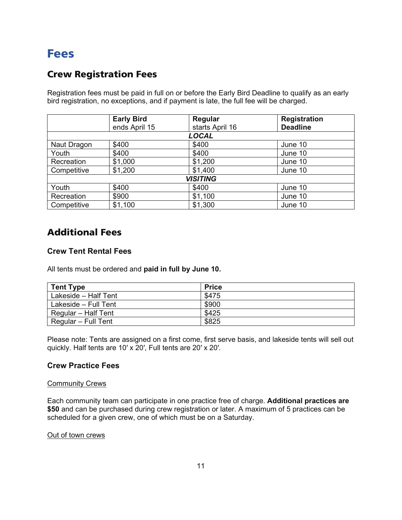## <span id="page-11-0"></span>Fees

## <span id="page-11-1"></span>Crew Registration Fees

Registration fees must be paid in full on or before the Early Bird Deadline to qualify as an early bird registration, no exceptions, and if payment is late, the full fee will be charged.

|                 | <b>Early Bird</b> | Regular         | <b>Registration</b> |  |  |
|-----------------|-------------------|-----------------|---------------------|--|--|
|                 | ends April 15     | starts April 16 | <b>Deadline</b>     |  |  |
| LOCAL           |                   |                 |                     |  |  |
| Naut Dragon     | \$400             | \$400           | June 10             |  |  |
| Youth           | \$400             | \$400           | June 10             |  |  |
| Recreation      | \$1,000           | \$1,200         | June 10             |  |  |
| Competitive     | \$1,200           | \$1,400         | June 10             |  |  |
| <b>VISITING</b> |                   |                 |                     |  |  |
| Youth           | \$400             | \$400           | June 10             |  |  |
| Recreation      | \$900             | \$1,100         | June 10             |  |  |
| Competitive     | \$1,100           | \$1,300         | June 10             |  |  |

## <span id="page-11-2"></span>Additional Fees

### <span id="page-11-3"></span>**Crew Tent Rental Fees**

All tents must be ordered and **paid in full by June 10.**

| <b>Tent Type</b>     | <b>Price</b> |
|----------------------|--------------|
| Lakeside - Half Tent | \$475        |
| Lakeside - Full Tent | \$900        |
| Regular - Half Tent  | \$425        |
| Regular – Full Tent  | \$825        |

Please note: Tents are assigned on a first come, first serve basis, and lakeside tents will sell out quickly. Half tents are 10′ x 20′, Full tents are 20′ x 20′.

### <span id="page-11-4"></span>**Crew Practice Fees**

#### **Community Crews**

Each community team can participate in one practice free of charge. **Additional practices are \$50** and can be purchased during crew registration or later. A maximum of 5 practices can be scheduled for a given crew, one of which must be on a Saturday.

#### Out of town crews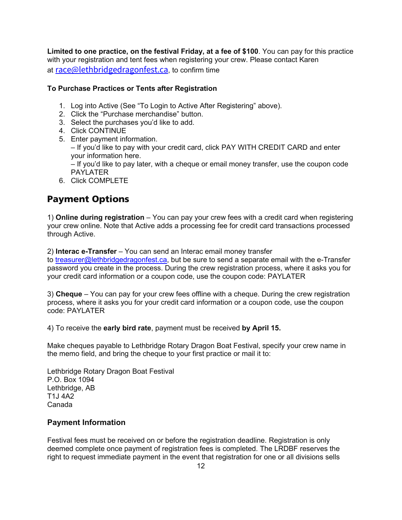**Limited to one practice, on the festival Friday, at a fee of \$100**. You can pay for this practice with your registration and tent fees when registering your crew. Please contact Karen at [race@lethbridgedragonfest.ca](mailto:race@lethbridgedragonfest.ca), to confirm time

### <span id="page-12-0"></span>**To Purchase Practices or Tents after Registration**

- 1. Log into Active (See "To Login to Active After Registering" above).
- 2. Click the "Purchase merchandise" button.
- 3. Select the purchases you'd like to add.
- 4. Click CONTINUE
- 5. Enter payment information. – If you'd like to pay with your credit card, click PAY WITH CREDIT CARD and enter your information here. – If you'd like to pay later, with a cheque or email money transfer, use the coupon code PAYLATER
- 6. Click COMPLETE

## <span id="page-12-1"></span>Payment Options

1) **Online during registration** – You can pay your crew fees with a credit card when registering your crew online. Note that Active adds a processing fee for credit card transactions processed through Active.

2) **Interac e-Transfer** – You can send an Interac email money transfer

to [treasurer@lethbridgedragonfest.ca,](mailto:treasurer@lethbridgedragonfest.ca) but be sure to send a separate email with the e-Transfer password you create in the process. During the crew registration process, where it asks you for your credit card information or a coupon code, use the coupon code: PAYLATER

3) **Cheque** – You can pay for your crew fees offline with a cheque. During the crew registration process, where it asks you for your credit card information or a coupon code, use the coupon code: PAYLATER

4) To receive the **early bird rate**, payment must be received **by April 15.**

Make cheques payable to Lethbridge Rotary Dragon Boat Festival, specify your crew name in the memo field, and bring the cheque to your first practice or mail it to:

Lethbridge Rotary Dragon Boat Festival P.O. Box 1094 Lethbridge, AB T1J 4A2 Canada

### <span id="page-12-2"></span>**Payment Information**

Festival fees must be received on or before the registration deadline. Registration is only deemed complete once payment of registration fees is completed. The LRDBF reserves the right to request immediate payment in the event that registration for one or all divisions sells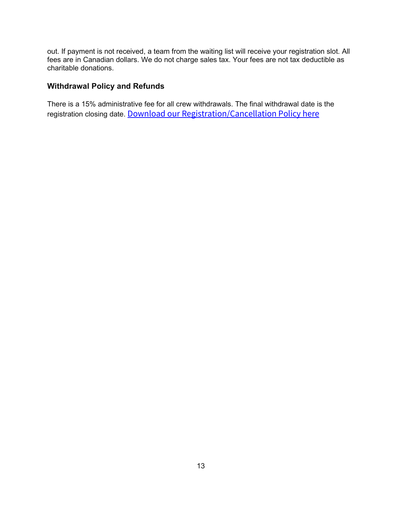out. If payment is not received, a team from the waiting list will receive your registration slot. All fees are in Canadian dollars. We do not charge sales tax. Your fees are not tax deductible as charitable donations.

## <span id="page-13-0"></span>**Withdrawal Policy and Refunds**

There is a 15% administrative fee for all crew withdrawals. The final withdrawal date is the registration closing date. [Download our Registration/Cancellation Policy here](https://lethbridgedragonfest.files.wordpress.com/2022/04/lrdbf-registration-cancellation-v2-new-logo.pdf)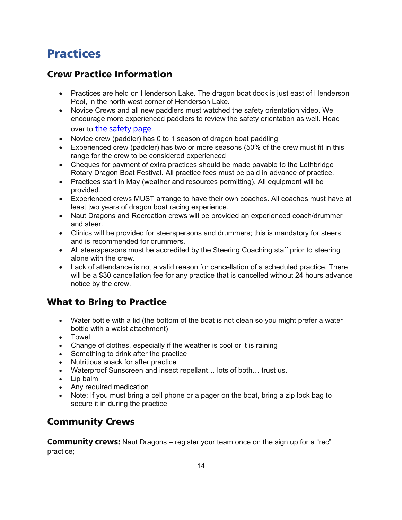## <span id="page-14-0"></span>Practices

## <span id="page-14-1"></span>Crew Practice Information

- Practices are held on Henderson Lake. The dragon boat dock is just east of Henderson Pool, in the north west corner of Henderson Lake.
- Novice Crews and all new paddlers must watched the safety orientation video. We encourage more experienced paddlers to review the safety orientation as well. Head over to [the safety page](https://lethbridgedragonfest.ca/safety).
- Novice crew (paddler) has 0 to 1 season of dragon boat paddling
- Experienced crew (paddler) has two or more seasons (50% of the crew must fit in this range for the crew to be considered experienced
- Cheques for payment of extra practices should be made payable to the Lethbridge Rotary Dragon Boat Festival. All practice fees must be paid in advance of practice.
- Practices start in May (weather and resources permitting). All equipment will be provided.
- Experienced crews MUST arrange to have their own coaches. All coaches must have at least two years of dragon boat racing experience.
- Naut Dragons and Recreation crews will be provided an experienced coach/drummer and steer.
- Clinics will be provided for steerspersons and drummers; this is mandatory for steers and is recommended for drummers.
- All steerspersons must be accredited by the Steering Coaching staff prior to steering alone with the crew.
- Lack of attendance is not a valid reason for cancellation of a scheduled practice. There will be a \$30 cancellation fee for any practice that is cancelled without 24 hours advance notice by the crew.

## <span id="page-14-2"></span>What to Bring to Practice

- Water bottle with a lid (the bottom of the boat is not clean so you might prefer a water bottle with a waist attachment)
- Towel
- Change of clothes, especially if the weather is cool or it is raining
- Something to drink after the practice
- Nutritious snack for after practice
- Waterproof Sunscreen and insect repellant… lots of both… trust us.
- Lip balm
- Any required medication
- Note: If you must bring a cell phone or a pager on the boat, bring a zip lock bag to secure it in during the practice

## <span id="page-14-3"></span>Community Crews

**Community crews:** Naut Dragons – register your team once on the sign up for a "rec" practice;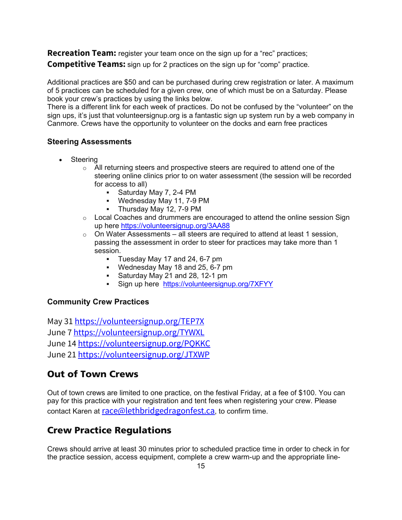**Recreation Team:** register your team once on the sign up for a "rec" practices; **Competitive Teams:** sign up for 2 practices on the sign up for "comp" practice.

Additional practices are \$50 and can be purchased during crew registration or later. A maximum of 5 practices can be scheduled for a given crew, one of which must be on a Saturday. Please book your crew's practices by using the links below.

There is a different link for each week of practices. Do not be confused by the "volunteer" on the sign ups, it's just that volunteersignup.org is a fantastic sign up system run by a web company in Canmore. Crews have the opportunity to volunteer on the docks and earn free practices

### <span id="page-15-0"></span>**Steering Assessments**

- Steering
	- $\circ$  All returning steers and prospective steers are required to attend one of the steering online clinics prior to on water assessment (the session will be recorded for access to all)
		- Saturday May 7, 2-4 PM
		- Wednesday May 11, 7-9 PM
		- Thursday May 12, 7-9 PM
	- $\circ$  Local Coaches and drummers are encouraged to attend the online session Sign up here <https://volunteersignup.org/3AA88>
	- $\circ$  On Water Assessments all steers are required to attend at least 1 session, passing the assessment in order to steer for practices may take more than 1 session.
		- Tuesday May 17 and 24, 6-7 pm
		- Wednesday May 18 and 25, 6-7 pm
		- Saturday May 21 and 28, 12-1 pm
		- Sign up here <https://volunteersignup.org/7XFYY>

### <span id="page-15-1"></span>**Community Crew Practices**

May 31 <https://volunteersignup.org/TEP7X> June 7 <https://volunteersignup.org/TYWXL> June 14 <https://volunteersignup.org/PQKKC> June 21 <https://volunteersignup.org/JTXWP>

### <span id="page-15-2"></span>Out of Town Crews

Out of town crews are limited to one practice, on the festival Friday, at a fee of \$100. You can pay for this practice with your registration and tent fees when registering your crew. Please contact Karen at [race@lethbridgedragonfest.ca](mailto:race@lethbridgedragonfest.ca), to confirm time.

## <span id="page-15-3"></span>Crew Practice Regulations

Crews should arrive at least 30 minutes prior to scheduled practice time in order to check in for the practice session, access equipment, complete a crew warm-up and the appropriate line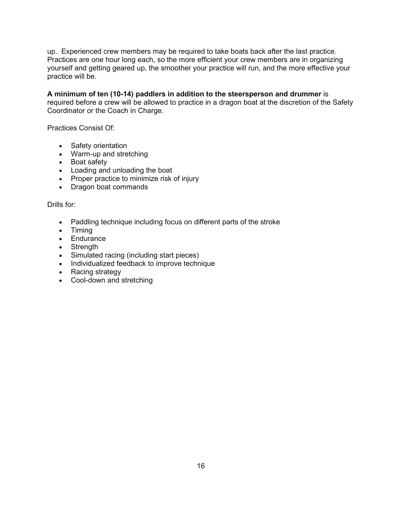up. Experienced crew members may be required to take boats back after the last practice. Practices are one hour long each, so the more efficient your crew members are in organizing yourself and getting geared up, the smoother your practice will run, and the more effective your practice will be.

**A minimum of ten (10-14) paddlers in addition to the steersperson and drummer** is required before a crew will be allowed to practice in a dragon boat at the discretion of the Safety Coordinator or the Coach in Charge.

<span id="page-16-0"></span>Practices Consist Of:

- Safety orientation
- Warm-up and stretching
- Boat safety
- Loading and unloading the boat
- Proper practice to minimize risk of injury
- Dragon boat commands

<span id="page-16-1"></span>Drills for:

- Paddling technique including focus on different parts of the stroke
- Timing
- Endurance
- Strength
- Simulated racing (including start pieces)
- Individualized feedback to improve technique
- Racing strategy
- Cool-down and stretching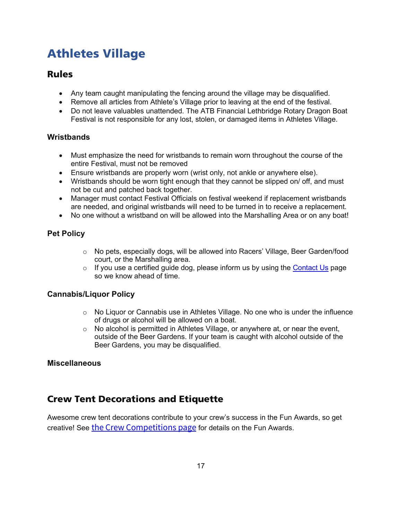## <span id="page-17-0"></span>Athletes Village

### <span id="page-17-1"></span>Rules

- Any team caught manipulating the fencing around the village may be disqualified.
- Remove all articles from Athlete's Village prior to leaving at the end of the festival.
- Do not leave valuables unattended. The ATB Financial Lethbridge Rotary Dragon Boat Festival is not responsible for any lost, stolen, or damaged items in Athletes Village.

### <span id="page-17-2"></span>**Wristbands**

- Must emphasize the need for wristbands to remain worn throughout the course of the entire Festival, must not be removed
- Ensure wristbands are properly worn (wrist only, not ankle or anywhere else).
- Wristbands should be worn tight enough that they cannot be slipped on/ off, and must not be cut and patched back together.
- Manager must contact Festival Officials on festival weekend if replacement wristbands are needed, and original wristbands will need to be turned in to receive a replacement.
- No one without a wristband on will be allowed into the Marshalling Area or on any boat!

### <span id="page-17-3"></span>**Pet Policy**

- o No pets, especially dogs, will be allowed into Racers' Village, Beer Garden/food court, or the Marshalling area.
- $\circ$  If you use a certified guide dog, please inform us by using the [Contact Us](https://lethbridgedragonfest.ca/contact/) page so we know ahead of time.

### <span id="page-17-4"></span>**Cannabis/Liquor Policy**

- $\circ$  No Liquor or Cannabis use in Athletes Village. No one who is under the influence of drugs or alcohol will be allowed on a boat.
- o No alcohol is permitted in Athletes Village, or anywhere at, or near the event, outside of the Beer Gardens. If your team is caught with alcohol outside of the Beer Gardens, you may be disqualified.

### <span id="page-17-5"></span>**Miscellaneous**

### <span id="page-17-6"></span>Crew Tent Decorations and Etiquette

Awesome crew tent decorations contribute to your crew's success in the Fun Awards, so get creative! See [the Crew Competitions page](https://lethbridgedragonfest.ca/crew-competitions/) for details on the Fun Awards.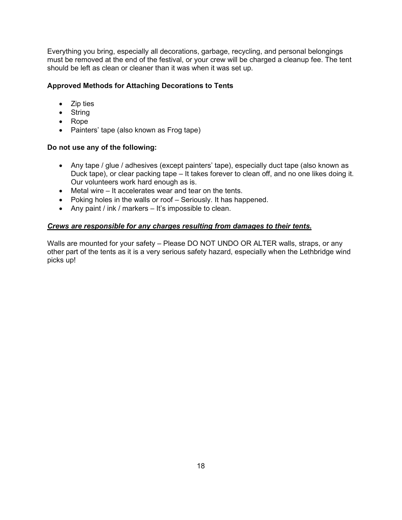Everything you bring, especially all decorations, garbage, recycling, and personal belongings must be removed at the end of the festival, or your crew will be charged a cleanup fee. The tent should be left as clean or cleaner than it was when it was set up.

### **Approved Methods for Attaching Decorations to Tents**

- Zip ties
- String
- Rope
- Painters' tape (also known as Frog tape)

### **Do not use any of the following:**

- Any tape / glue / adhesives (except painters' tape), especially duct tape (also known as Duck tape), or clear packing tape – It takes forever to clean off, and no one likes doing it. Our volunteers work hard enough as is.
- Metal wire It accelerates wear and tear on the tents.
- Poking holes in the walls or roof Seriously. It has happened.
- Any paint / ink / markers It's impossible to clean.

### *Crews are responsible for any charges resulting from damages to their tents.*

Walls are mounted for your safety – Please DO NOT UNDO OR ALTER walls, straps, or any other part of the tents as it is a very serious safety hazard, especially when the Lethbridge wind picks up!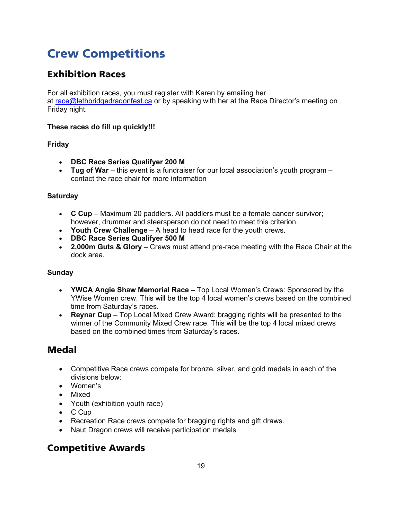## <span id="page-19-0"></span>Crew Competitions

## <span id="page-19-1"></span>Exhibition Races

For all exhibition races, you must register with Karen by emailing her at [race@lethbridgedragonfest.ca](mailto:race@lethbridgedragonfest.ca) or by speaking with her at the Race Director's meeting on Friday night.

### **These races do fill up quickly!!!**

### <span id="page-19-2"></span>**Friday**

- **DBC Race Series Qualifyer 200 M**
- **Tug of War** this event is a fundraiser for our local association's youth program contact the race chair for more information

### <span id="page-19-3"></span>**Saturday**

- **C Cup** Maximum 20 paddlers. All paddlers must be a female cancer survivor; however, drummer and steersperson do not need to meet this criterion.
- **Youth Crew Challenge** A head to head race for the youth crews.
- **DBC Race Series Qualifyer 500 M**
- **2,000m Guts & Glory** Crews must attend pre-race meeting with the Race Chair at the dock area.

### <span id="page-19-4"></span>**Sunday**

- **YWCA Angie Shaw Memorial Race** Top Local Women's Crews: Sponsored by the YWise Women crew. This will be the top 4 local women's crews based on the combined time from Saturday's races.
- **Reynar Cup** Top Local Mixed Crew Award: bragging rights will be presented to the winner of the Community Mixed Crew race. This will be the top 4 local mixed crews based on the combined times from Saturday's races.

### <span id="page-19-5"></span>Medal

- Competitive Race crews compete for bronze, silver, and gold medals in each of the divisions below:
- Women's
- Mixed
- Youth (exhibition youth race)
- C Cup
- Recreation Race crews compete for bragging rights and gift draws.
- Naut Dragon crews will receive participation medals

### <span id="page-19-6"></span>Competitive Awards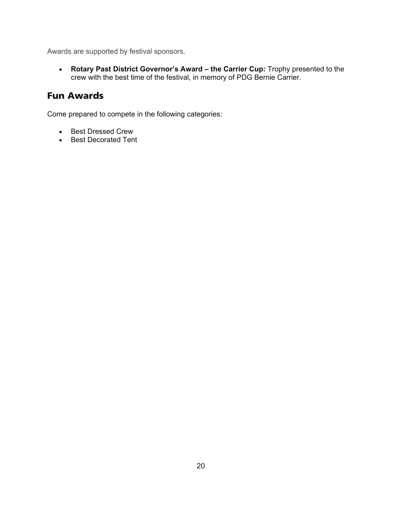Awards are supported by festival sponsors.

• **Rotary Past District Governor's Award – the Carrier Cup:** Trophy presented to the crew with the best time of the festival, in memory of PDG Bernie Carrier.

## <span id="page-20-0"></span>Fun Awards

Come prepared to compete in the following categories:

- Best Dressed Crew
- Best Decorated Tent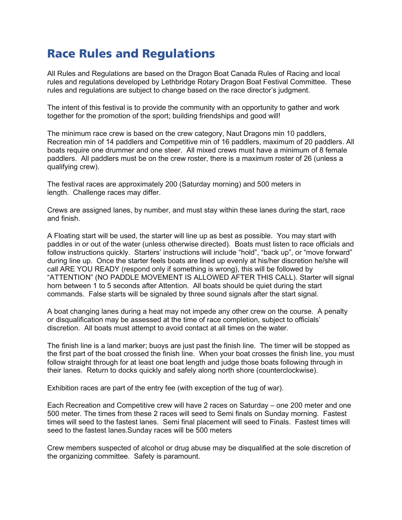## <span id="page-21-0"></span>Race Rules and Regulations

All Rules and Regulations are based on the Dragon Boat Canada Rules of Racing and local rules and regulations developed by Lethbridge Rotary Dragon Boat Festival Committee. These rules and regulations are subject to change based on the race director's judgment.

The intent of this festival is to provide the community with an opportunity to gather and work together for the promotion of the sport; building friendships and good will!

The minimum race crew is based on the crew category, Naut Dragons min 10 paddlers, Recreation min of 14 paddlers and Competitive min of 16 paddlers, maximum of 20 paddlers. All boats require one drummer and one steer. All mixed crews must have a minimum of 8 female paddlers. All paddlers must be on the crew roster, there is a maximum roster of 26 (unless a qualifying crew).

The festival races are approximately 200 (Saturday morning) and 500 meters in length. Challenge races may differ.

Crews are assigned lanes, by number, and must stay within these lanes during the start, race and finish.

A Floating start will be used, the starter will line up as best as possible. You may start with paddles in or out of the water (unless otherwise directed). Boats must listen to race officials and follow instructions quickly. Starters' instructions will include "hold", "back up", or "move forward" during line up. Once the starter feels boats are lined up evenly at his/her discretion he/she will call ARE YOU READY (respond only if something is wrong), this will be followed by "ATTENTION" (NO PADDLE MOVEMENT IS ALLOWED AFTER THIS CALL). Starter will signal horn between 1 to 5 seconds after Attention. All boats should be quiet during the start commands. False starts will be signaled by three sound signals after the start signal.

A boat changing lanes during a heat may not impede any other crew on the course. A penalty or disqualification may be assessed at the time of race completion, subject to officials' discretion. All boats must attempt to avoid contact at all times on the water.

The finish line is a land marker; buoys are just past the finish line. The timer will be stopped as the first part of the boat crossed the finish line. When your boat crosses the finish line, you must follow straight through for at least one boat length and judge those boats following through in their lanes. Return to docks quickly and safely along north shore (counterclockwise).

Exhibition races are part of the entry fee (with exception of the tug of war).

Each Recreation and Competitive crew will have 2 races on Saturday – one 200 meter and one 500 meter. The times from these 2 races will seed to Semi finals on Sunday morning. Fastest times will seed to the fastest lanes. Semi final placement will seed to Finals. Fastest times will seed to the fastest lanes.Sunday races will be 500 meters

Crew members suspected of alcohol or drug abuse may be disqualified at the sole discretion of the organizing committee. Safety is paramount.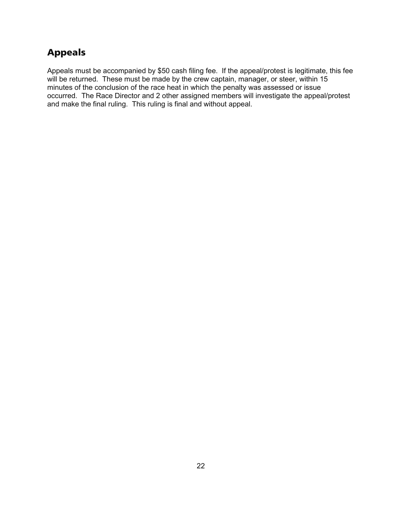## <span id="page-22-0"></span>Appeals

Appeals must be accompanied by \$50 cash filing fee. If the appeal/protest is legitimate, this fee will be returned. These must be made by the crew captain, manager, or steer, within 15 minutes of the conclusion of the race heat in which the penalty was assessed or issue occurred. The Race Director and 2 other assigned members will investigate the appeal/protest and make the final ruling. This ruling is final and without appeal.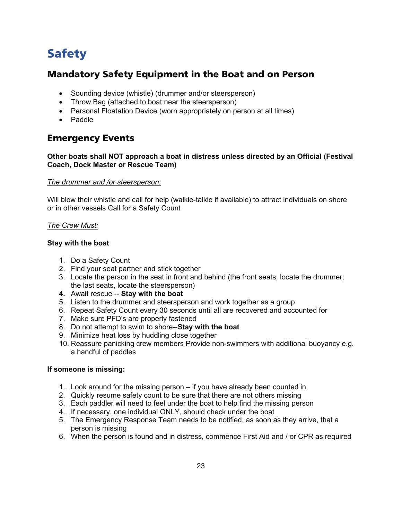## <span id="page-23-0"></span>Safety

### <span id="page-23-1"></span>Mandatory Safety Equipment in the Boat and on Person

- Sounding device (whistle) (drummer and/or steersperson)
- Throw Bag (attached to boat near the steersperson)
- Personal Floatation Device (worn appropriately on person at all times)
- Paddle

### <span id="page-23-2"></span>Emergency Events

#### **Other boats shall NOT approach a boat in distress unless directed by an Official (Festival Coach, Dock Master or Rescue Team)**

#### *The drummer and /or steersperson:*

Will blow their whistle and call for help (walkie-talkie if available) to attract individuals on shore or in other vessels Call for a Safety Count

#### *The Crew Must:*

#### **Stay with the boat**

- 1. Do a Safety Count
- 2. Find your seat partner and stick together
- 3. Locate the person in the seat in front and behind (the front seats, locate the drummer; the last seats, locate the steersperson)
- **4.** Await rescue -- **Stay with the boat**
- 5. Listen to the drummer and steersperson and work together as a group
- 6. Repeat Safety Count every 30 seconds until all are recovered and accounted for
- 7. Make sure PFD's are properly fastened
- 8. Do not attempt to swim to shore--**Stay with the boat**
- 9. Minimize heat loss by huddling close together
- 10. Reassure panicking crew members Provide non-swimmers with additional buoyancy e.g. a handful of paddles

#### **If someone is missing:**

- 1. Look around for the missing person if you have already been counted in
- 2. Quickly resume safety count to be sure that there are not others missing
- 3. Each paddler will need to feel under the boat to help find the missing person
- 4. If necessary, one individual ONLY, should check under the boat
- 5. The Emergency Response Team needs to be notified, as soon as they arrive, that a person is missing
- 6. When the person is found and in distress, commence First Aid and / or CPR as required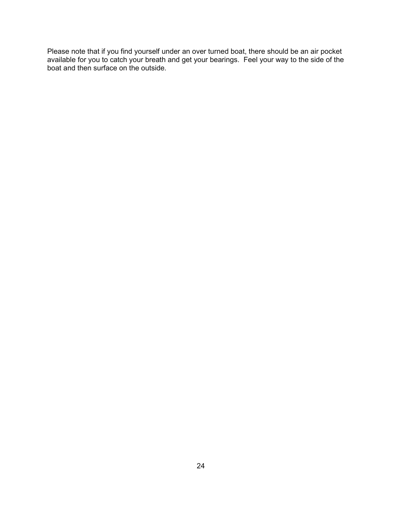Please note that if you find yourself under an over turned boat, there should be an air pocket available for you to catch your breath and get your bearings. Feel your way to the side of the boat and then surface on the outside.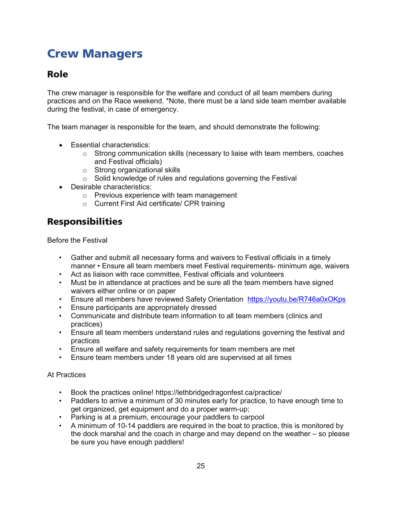## <span id="page-25-0"></span>Crew Managers

## <span id="page-25-1"></span>Role

The crew manager is responsible for the welfare and conduct of all team members during practices and on the Race weekend. \*Note, there must be a land side team member available during the festival, in case of emergency.

The team manager is responsible for the team, and should demonstrate the following:

- Essential characteristics:
	- $\circ$  Strong communication skills (necessary to liaise with team members, coaches and Festival officials)
	- o Strong organizational skills
	- o Solid knowledge of rules and regulations governing the Festival
- Desirable characteristics:
	- o Previous experience with team management
	- o Current First Aid certificate/ CPR training

## <span id="page-25-2"></span>Responsibilities

Before the Festival

- Gather and submit all necessary forms and waivers to Festival officials in a timely manner • Ensure all team members meet Festival requirements- minimum age, waivers
- Act as liaison with race committee, Festival officials and volunteers
- Must be in attendance at practices and be sure all the team members have signed waivers either online or on paper
- Ensure all members have reviewed Safety Orientation <https://youtu.be/R746a0xOKps>
- Ensure participants are appropriately dressed
- Communicate and distribute team information to all team members (clinics and practices)
- Ensure all team members understand rules and regulations governing the festival and practices
- Ensure all welfare and safety requirements for team members are met
- Ensure team members under 18 years old are supervised at all times

### At Practices

- Book the practices online! https://lethbridgedragonfest.ca/practice/
- Paddlers to arrive a minimum of 30 minutes early for practice, to have enough time to get organized, get equipment and do a proper warm-up;
- Parking is at a premium, encourage your paddlers to carpool
- A minimum of 10-14 paddlers are required in the boat to practice, this is monitored by the dock marshal and the coach in charge and may depend on the weather – so please be sure you have enough paddlers!